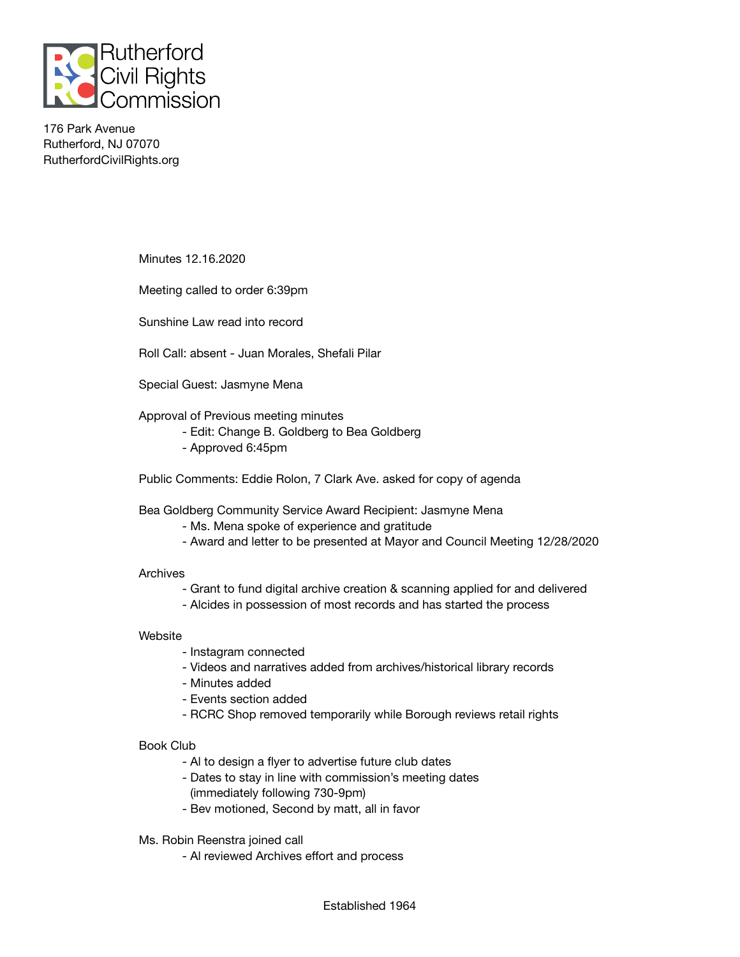

176 Park Avenue Rutherford, NJ 07070 RutherfordCivilRights.org

Minutes 12.16.2020

Meeting called to order 6:39pm

Sunshine Law read into record

Roll Call: absent - Juan Morales, Shefali Pilar

Special Guest: Jasmyne Mena

Approval of Previous meeting minutes

- Edit: Change B. Goldberg to Bea Goldberg
- Approved 6:45pm

Public Comments: Eddie Rolon, 7 Clark Ave. asked for copy of agenda

Bea Goldberg Community Service Award Recipient: Jasmyne Mena

- Ms. Mena spoke of experience and gratitude
- Award and letter to be presented at Mayor and Council Meeting 12/28/2020

## Archives

- Grant to fund digital archive creation & scanning applied for and delivered
- Alcides in possession of most records and has started the process

## **Website**

- Instagram connected
- Videos and narratives added from archives/historical library records
- Minutes added
- Events section added
- RCRC Shop removed temporarily while Borough reviews retail rights

## Book Club

- Al to design a flyer to advertise future club dates
- Dates to stay in line with commission's meeting dates (immediately following 730-9pm)
- Bev motioned, Second by matt, all in favor

Ms. Robin Reenstra joined call

- Al reviewed Archives effort and process